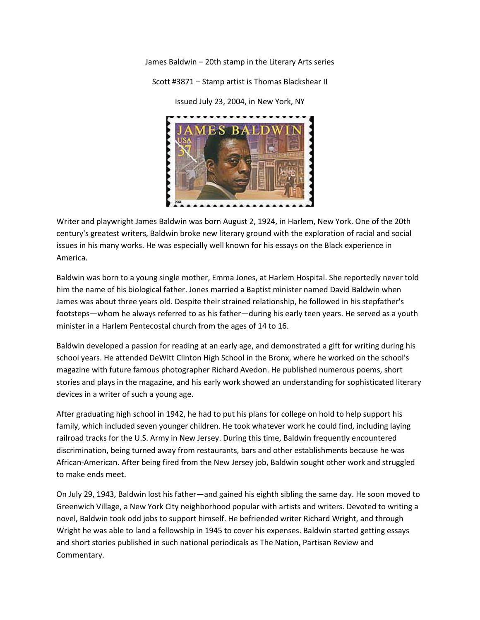James Baldwin – 20th stamp in the Literary Arts series

Scott #3871 – Stamp artist is Thomas Blackshear II

 $.........$ 

Issued July 23, 2004, in New York, NY

Writer and playwright James Baldwin was born August 2, 1924, in Harlem, New York. One of the 20th century's greatest writers, Baldwin broke new literary ground with the exploration of racial and social issues in his many works. He was especially well known for his essays on the Black experience in America.

Baldwin was born to a young single mother, Emma Jones, at Harlem Hospital. She reportedly never told him the name of his biological father. Jones married a Baptist minister named David Baldwin when James was about three years old. Despite their strained relationship, he followed in his stepfather's footsteps—whom he always referred to as his father—during his early teen years. He served as a youth minister in a Harlem Pentecostal church from the ages of 14 to 16.

Baldwin developed a passion for reading at an early age, and demonstrated a gift for writing during his school years. He attended DeWitt Clinton High School in the Bronx, where he worked on the school's magazine with future famous photographer Richard Avedon. He published numerous poems, short stories and plays in the magazine, and his early work showed an understanding for sophisticated literary devices in a writer of such a young age.

After graduating high school in 1942, he had to put his plans for college on hold to help support his family, which included seven younger children. He took whatever work he could find, including laying railroad tracks for the U.S. Army in New Jersey. During this time, Baldwin frequently encountered discrimination, being turned away from restaurants, bars and other establishments because he was African-American. After being fired from the New Jersey job, Baldwin sought other work and struggled to make ends meet.

On July 29, 1943, Baldwin lost his father—and gained his eighth sibling the same day. He soon moved to Greenwich Village, a New York City neighborhood popular with artists and writers. Devoted to writing a novel, Baldwin took odd jobs to support himself. He befriended writer Richard Wright, and through Wright he was able to land a fellowship in 1945 to cover his expenses. Baldwin started getting essays and short stories published in such national periodicals as The Nation, Partisan Review and Commentary.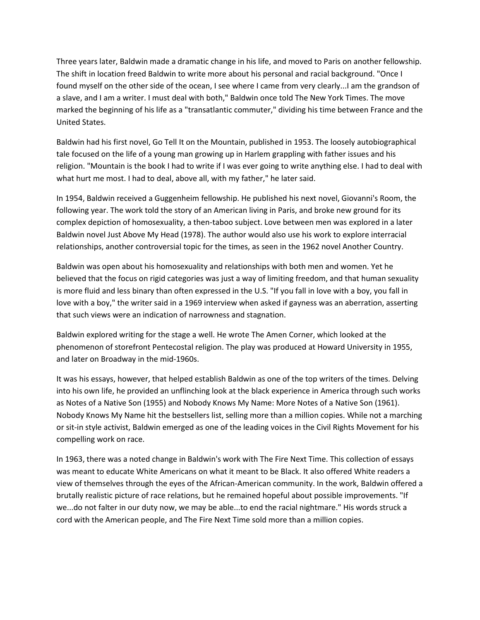Three years later, Baldwin made a dramatic change in his life, and moved to Paris on another fellowship. The shift in location freed Baldwin to write more about his personal and racial background. "Once I found myself on the other side of the ocean, I see where I came from very clearly...I am the grandson of a slave, and I am a writer. I must deal with both," Baldwin once told The New York Times. The move marked the beginning of his life as a "transatlantic commuter," dividing his time between France and the United States.

Baldwin had his first novel, Go Tell It on the Mountain, published in 1953. The loosely autobiographical tale focused on the life of a young man growing up in Harlem grappling with father issues and his religion. "Mountain is the book I had to write if I was ever going to write anything else. I had to deal with what hurt me most. I had to deal, above all, with my father," he later said.

In 1954, Baldwin received a Guggenheim fellowship. He published his next novel, Giovanni's Room, the following year. The work told the story of an American living in Paris, and broke new ground for its complex depiction of homosexuality, a then-taboo subject. Love between men was explored in a later Baldwin novel Just Above My Head (1978). The author would also use his work to explore interracial relationships, another controversial topic for the times, as seen in the 1962 novel Another Country.

Baldwin was open about his homosexuality and relationships with both men and women. Yet he believed that the focus on rigid categories was just a way of limiting freedom, and that human sexuality is more fluid and less binary than often expressed in the U.S. "If you fall in love with a boy, you fall in love with a boy," the writer said in a 1969 interview when asked if gayness was an aberration, asserting that such views were an indication of narrowness and stagnation.

Baldwin explored writing for the stage a well. He wrote The Amen Corner, which looked at the phenomenon of storefront Pentecostal religion. The play was produced at Howard University in 1955, and later on Broadway in the mid-1960s.

It was his essays, however, that helped establish Baldwin as one of the top writers of the times. Delving into his own life, he provided an unflinching look at the black experience in America through such works as Notes of a Native Son (1955) and Nobody Knows My Name: More Notes of a Native Son (1961). Nobody Knows My Name hit the bestsellers list, selling more than a million copies. While not a marching or sit-in style activist, Baldwin emerged as one of the leading voices in the Civil Rights Movement for his compelling work on race.

In 1963, there was a noted change in Baldwin's work with The Fire Next Time. This collection of essays was meant to educate White Americans on what it meant to be Black. It also offered White readers a view of themselves through the eyes of the African-American community. In the work, Baldwin offered a brutally realistic picture of race relations, but he remained hopeful about possible improvements. "If we...do not falter in our duty now, we may be able...to end the racial nightmare." His words struck a cord with the American people, and The Fire Next Time sold more than a million copies.